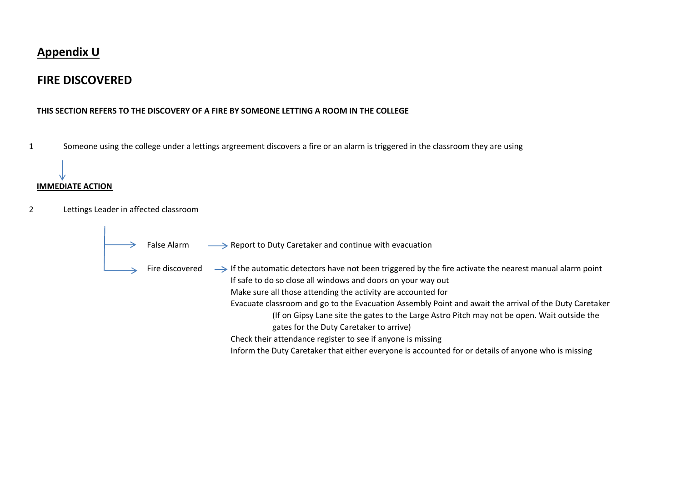### **Appendix U**

## **FIRE DISCOVERED**

### **THIS SECTION REFERS TO THE DISCOVERY OF A FIRE BY SOMEONE LETTING A ROOM IN THE COLLEGE**

1 Someone using the college under a lettings argreement discovers a fire or an alarm is triggered in the classroom they are using

#### **IMMEDIATE ACTION**

- 2 Lettings Leader in affected classroom
	- False Alarm  $\longrightarrow$  Report to Duty Caretaker and continue with evacuation

Fire discovered  $\longrightarrow$  If the automatic detectors have not been triggered by the fire activate the nearest manual alarm point If safe to do so close all windows and doors on your way out Make sure all those attending the activity are accounted for Evacuate classroom and go to the Evacuation Assembly Point and await the arrival of the Duty Caretaker (If on Gipsy Lane site the gates to the Large Astro Pitch may not be open. Wait outside the gates for the Duty Caretaker to arrive) Check their attendance register to see if anyone is missing

Inform the Duty Caretaker that either everyone is accounted for or details of anyone who is missing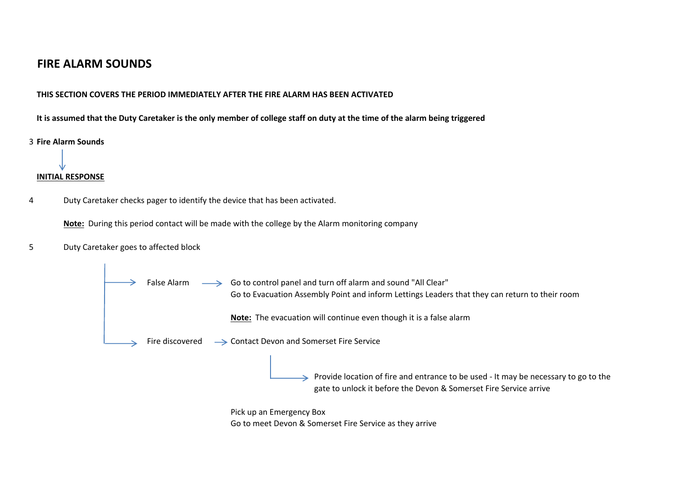## **FIRE ALARM SOUNDS**

### **THIS SECTION COVERS THE PERIOD IMMEDIATELY AFTER THE FIRE ALARM HAS BEEN ACTIVATED**

It is assumed that the Duty Caretaker is the only member of college staff on duty at the time of the alarm being triggered



# **INITIAL RESPONSE**

4 Duty Caretaker checks pager to identify the device that has been activated.

**Note:** During this period contact will be made with the college by the Alarm monitoring company

5 Duty Caretaker goes to affected block



Go to meet Devon & Somerset Fire Service as they arrive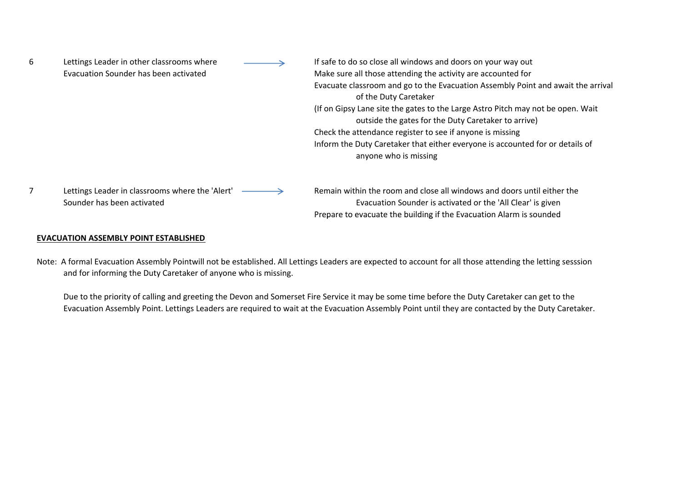| 6              | Lettings Leader in other classrooms where<br>Evacuation Sounder has been activated | If safe to do so close all windows and doors on your way out<br>Make sure all those attending the activity are accounted for<br>Evacuate classroom and go to the Evacuation Assembly Point and await the arrival<br>of the Duty Caretaker<br>(If on Gipsy Lane site the gates to the Large Astro Pitch may not be open. Wait<br>outside the gates for the Duty Caretaker to arrive)<br>Check the attendance register to see if anyone is missing<br>Inform the Duty Caretaker that either everyone is accounted for or details of<br>anyone who is missing |
|----------------|------------------------------------------------------------------------------------|------------------------------------------------------------------------------------------------------------------------------------------------------------------------------------------------------------------------------------------------------------------------------------------------------------------------------------------------------------------------------------------------------------------------------------------------------------------------------------------------------------------------------------------------------------|
| $\overline{7}$ | Lettings Leader in classrooms where the 'Alert'<br>Sounder has been activated      | Remain within the room and close all windows and doors until either the<br>Evacuation Sounder is activated or the 'All Clear' is given<br>Prepare to evacuate the building if the Evacuation Alarm is sounded                                                                                                                                                                                                                                                                                                                                              |

#### **EVACUATION ASSEMBLY POINT ESTABLISHED**

Note: A formal Evacuation Assembly Pointwill not be established. All Lettings Leaders are expected to account for all those attending the letting sesssion and for informing the Duty Caretaker of anyone who is missing.

Due to the priority of calling and greeting the Devon and Somerset Fire Service it may be some time before the Duty Caretaker can get to the Evacuation Assembly Point. Lettings Leaders are required to wait at the Evacuation Assembly Point until they are contacted by the Duty Caretaker.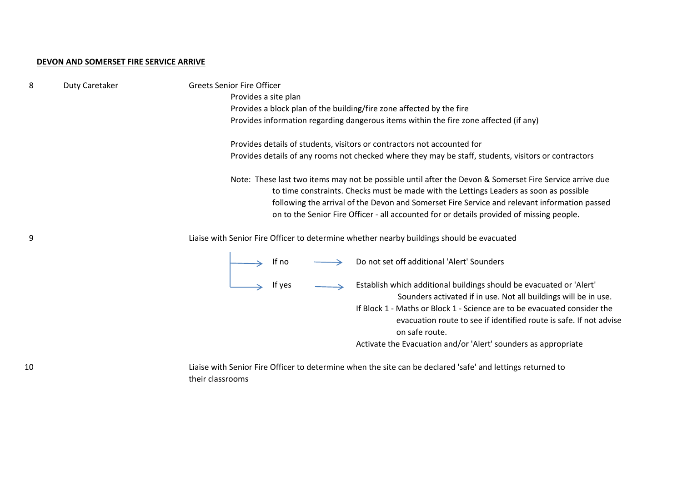#### **DEVON AND SOMERSET FIRE SERVICE ARRIVE**

| 8  | Duty Caretaker | <b>Greets Senior Fire Officer</b><br>Provides a site plan                                                                                                                                                                                                                                                                                                                                     |  |
|----|----------------|-----------------------------------------------------------------------------------------------------------------------------------------------------------------------------------------------------------------------------------------------------------------------------------------------------------------------------------------------------------------------------------------------|--|
|    |                | Provides a block plan of the building/fire zone affected by the fire                                                                                                                                                                                                                                                                                                                          |  |
|    |                | Provides information regarding dangerous items within the fire zone affected (if any)                                                                                                                                                                                                                                                                                                         |  |
|    |                | Provides details of students, visitors or contractors not accounted for                                                                                                                                                                                                                                                                                                                       |  |
|    |                | Provides details of any rooms not checked where they may be staff, students, visitors or contractors                                                                                                                                                                                                                                                                                          |  |
|    |                | Note: These last two items may not be possible until after the Devon & Somerset Fire Service arrive due<br>to time constraints. Checks must be made with the Lettings Leaders as soon as possible<br>following the arrival of the Devon and Somerset Fire Service and relevant information passed<br>on to the Senior Fire Officer - all accounted for or details provided of missing people. |  |
| 9  |                | Liaise with Senior Fire Officer to determine whether nearby buildings should be evacuated                                                                                                                                                                                                                                                                                                     |  |
|    |                | Do not set off additional 'Alert' Sounders<br>$\longrightarrow$ If no $\longrightarrow$ Do<br>$\longrightarrow$ If yes $\longrightarrow$ Es                                                                                                                                                                                                                                                   |  |
|    |                | Establish which additional buildings should be evacuated or 'Alert'<br>Sounders activated if in use. Not all buildings will be in use.<br>If Block 1 - Maths or Block 1 - Science are to be evacuated consider the<br>evacuation route to see if identified route is safe. If not advise<br>on safe route.<br>Activate the Evacuation and/or 'Alert' sounders as appropriate                  |  |
|    |                |                                                                                                                                                                                                                                                                                                                                                                                               |  |
| 10 |                | Liaise with Senior Fire Officer to determine when the site can be declared 'safe' and lettings returned to                                                                                                                                                                                                                                                                                    |  |

their classrooms